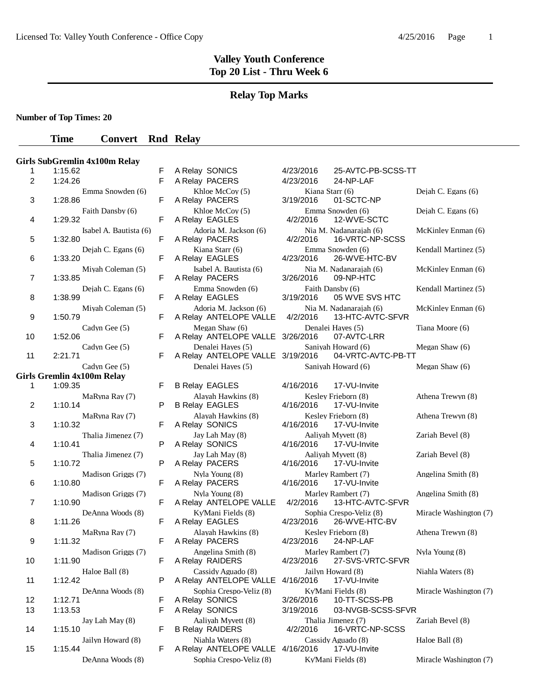#### **Relay Top Marks**

**Number of Top Times: 20**

#### **Time Convert Rnd Relay**

|                |         | Girls SubGremlin 4x100m Relay                      |
|----------------|---------|----------------------------------------------------|
| 1              | 1:15.62 |                                                    |
| $\overline{c}$ | 1:24.26 |                                                    |
| 3              | 1:28.86 | Emma Snowden (6)                                   |
| 4              | 1:29.32 | Faith Dansby (6)                                   |
| 5              | 1:32.80 | Isabel A. Bautista (6)                             |
|                |         | Dejah C. Egans (6)                                 |
| 6              | 1:33.20 | Mivah Coleman (5)                                  |
| 7              | 1:33.85 | Dejah C. Egans (6)                                 |
| 8              | 1:38.99 | Miyah Coleman (5)                                  |
| 9              | 1:50.79 | Cadyn Gee (5)                                      |
| 10             | 1:52.06 |                                                    |
| 11             | 2:21.71 | Cadyn Gee (5)                                      |
|                |         | Cadyn Gee (5)<br><b>Girls Gremlin 4x100m Relay</b> |
| 1              | 1:09.35 |                                                    |
| 2              | 1:10.14 | MaRyna Ray (7)                                     |
| 3              | 1:10.32 | MaRyna Ray (7)                                     |
| 4              | 1:10.41 | Thalia Jimenez (7)                                 |
|                |         | Thalia Jimenez (7)                                 |
| 5              | 1:10.72 | Madison Griggs (7)                                 |
| 6              | 1:10.80 | Madison Griggs (7)                                 |
| 7              | 1:10.90 | DeAnna Woods (8)                                   |
| 8              | 1:11.26 | MaRyna Ray (7)                                     |
| 9              | 1:11.32 |                                                    |
| 10             | 1:11.90 | Madison Griggs (7)                                 |
| 11             | 1:12.42 | Haloe Ball (8)                                     |
| 12             | 1:12.71 | DeAnna Woods (8)                                   |
| 13             | 1:13.53 | Jay Lah May (8)                                    |
| 14             | 1:15.10 |                                                    |
| 15             | 1:15.44 | Jailyn Howard (8)                                  |
|                |         |                                                    |

| 1  | 1:15.62                                   | F | A Relay SONICS                                        | 25-AVTC-PB-SCSS-TT<br>4/23/2016                        |                        |
|----|-------------------------------------------|---|-------------------------------------------------------|--------------------------------------------------------|------------------------|
| 2  | 1:24.26                                   | F | A Relay PACERS                                        | 4/23/2016<br>24-NP-LAF                                 |                        |
| 3  | Emma Snowden (6)<br>1:28.86               | F | Khloe McCoy (5)<br>A Relay PACERS                     | Kiana Starr (6)<br>3/19/2016<br>01-SCTC-NP             | Dejah C. Egans (6)     |
| 4  | Faith Dansby (6)<br>1:29.32               | F | Khloe McCoy (5)<br>A Relay EAGLES                     | Emma Snowden (6)<br>4/2/2016<br>12-WVE-SCTC            | Dejah C. Egans (6)     |
| 5  | Isabel A. Bautista (6)<br>1:32.80         | F | Adoria M. Jackson (6)<br>A Relay PACERS               | Nia M. Nadanarajah (6)<br>4/2/2016<br>16-VRTC-NP-SCSS  | McKinley Enman (6)     |
| 6  | Dejah C. Egans $(6)$<br>1:33.20           | F | Kiana Starr (6)<br>A Relay EAGLES                     | Emma Snowden (6)<br>4/23/2016<br>26-WVE-HTC-BV         | Kendall Martinez (5)   |
| 7  | Miyah Coleman (5)<br>1:33.85              | F | Isabel A. Bautista (6)<br>A Relay PACERS              | Nia M. Nadanarajah (6)<br>3/26/2016<br>09-NP-HTC       | McKinley Enman (6)     |
| 8  | Dejah C. Egans (6)<br>1:38.99             | F | Emma Snowden (6)<br>A Relay EAGLES                    | Faith Dansby (6)<br>3/19/2016<br>05 WVE SVS HTC        | Kendall Martinez (5)   |
| 9  | Miyah Coleman (5)<br>1:50.79              | F | Adoria M. Jackson (6)<br>A Relay ANTELOPE VALLE       | Nia M. Nadanarajah (6)<br>4/2/2016<br>13-HTC-AVTC-SFVR | McKinley Enman (6)     |
| 10 | Cadyn Gee (5)<br>1:52.06                  | F | Megan Shaw (6)<br>A Relay ANTELOPE VALLE 3/26/2016    | Denalei Hayes (5)<br>07-AVTC-LRR                       | Tiana Moore (6)        |
| 11 | Cadyn Gee (5)<br>2:21.71                  | F | Denalei Haves (5)<br>A Relay ANTELOPE VALLE 3/19/2016 | Saniyah Howard (6)<br>04-VRTC-AVTC-PB-TT               | Megan Shaw (6)         |
|    | Cadyn Gee (5)<br>rls Gremlin 4x100m Relay |   | Denalei Hayes (5)                                     | Saniyah Howard (6)                                     | Megan Shaw (6)         |
| 1  | 1:09.35                                   | F | <b>B Relay EAGLES</b>                                 | 4/16/2016<br>17-VU-Invite                              |                        |
| 2  | MaRyna Ray (7)<br>1:10.14                 | P | Alayah Hawkins (8)<br><b>B Relay EAGLES</b>           | Kesley Frieborn (8)<br>4/16/2016<br>17-VU-Invite       | Athena Trewyn (8)      |
| 3  | MaRyna Ray (7)<br>1:10.32                 | F | Alayah Hawkins (8)<br>A Relay SONICS                  | Kesley Frieborn (8)<br>4/16/2016<br>17-VU-Invite       | Athena Trewyn (8)      |
| 4  | Thalia Jimenez (7)<br>1:10.41             | P | Jay Lah May (8)<br>A Relay SONICS                     | Aaliyah Myvett (8)<br>4/16/2016<br>17-VU-Invite        | Zariah Bevel (8)       |
| 5  | Thalia Jimenez (7)<br>1:10.72             | P | Jay Lah May (8)<br>A Relay PACERS                     | Aaliyah Myvett (8)<br>4/16/2016<br>17-VU-Invite        | Zariah Bevel (8)       |
| 6  | Madison Griggs (7)<br>1:10.80             | F | Nyla Young (8)<br>A Relay PACERS                      | Marley Rambert (7)<br>4/16/2016<br>17-VU-Invite        | Angelina Smith (8)     |
| 7  | Madison Griggs (7)<br>1:10.90             | F | Nyla Young (8)<br>A Relay ANTELOPE VALLE              | Marley Rambert (7)<br>4/2/2016<br>13-HTC-AVTC-SFVR     | Angelina Smith (8)     |
| 8  | DeAnna Woods (8)<br>1:11.26               | F | Kv'Mani Fields (8)<br>A Relay EAGLES                  | Sophia Crespo-Veliz (8)<br>4/23/2016<br>26-WVE-HTC-BV  | Miracle Washington (7) |
| 9  | MaRyna Ray (7)<br>1:11.32                 | F | Alavah Hawkins (8)<br>A Relay PACERS                  | Kesley Frieborn (8)<br>4/23/2016<br>24-NP-LAF          | Athena Trewyn (8)      |
| 10 | Madison Griggs (7)<br>1:11.90             | F | Angelina Smith (8)<br>A Relay RAIDERS                 | Marley Rambert (7)<br>27-SVS-VRTC-SFVR<br>4/23/2016    | Nyla Young (8)         |
| 11 | Haloe Ball (8)<br>1:12.42                 | P | Cassidy Aguado (8)<br>A Relay ANTELOPE VALLE          | Jailyn Howard (8)<br>4/16/2016<br>17-VU-Invite         | Niahla Waters (8)      |
| 12 | DeAnna Woods (8)<br>1:12.71               | F | Sophia Crespo-Veliz (8)<br>A Relay SONICS             | KyMani Fields (8)<br>3/26/2016<br>10-TT-SCSS-PB        | Miracle Washington (7) |
| 13 | 1:13.53                                   | F | A Relay SONICS                                        | 3/19/2016<br>03-NVGB-SCSS-SFVR                         |                        |
| 14 | Jay Lah May (8)<br>1:15.10                | F | Aaliyah Myvett (8)<br><b>B Relay RAIDERS</b>          | Thalia Jimenez (7)<br>4/2/2016<br>16-VRTC-NP-SCSS      | Zariah Bevel (8)       |
| 15 | Jailyn Howard (8)<br>1:15.44              | F | Niahla Waters (8)<br>A Relay ANTELOPE VALLE 4/16/2016 | Cassidy Aguado (8)<br>17-VU-Invite                     | Haloe Ball (8)         |
|    | DeAnna Woods (8)                          |   | Sophia Crespo-Veliz (8)                               | Ky'Mani Fields (8)                                     | Miracle Washington (7) |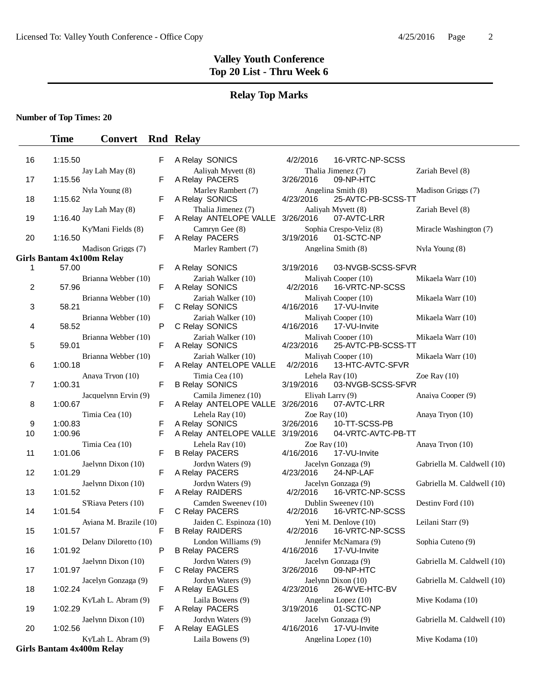#### **Relay Top Marks**

**Number of Top Times: 20**

## **Time Convert Rnd Relay**

| ΙO      | 1.10.00                                   |        | <b>A REIGY SUNICS</b>                             | 4/Z/ZUIO<br>$10 - 8$ N $-1$                      |
|---------|-------------------------------------------|--------|---------------------------------------------------|--------------------------------------------------|
| 17      | Jay Lah May (8)<br>1:15.56                | F      | Aaliyah Myvett (8)<br>A Relay PACERS              | Thalia Jimenez (7)<br>3/26/2016<br>09-NP-HTC     |
| 18      | Nyla Young (8)<br>1:15.62                 | F      | Marley Rambert (7)<br>A Relay SONICS              | Angelina Smith (8)<br>25-AVTC-P<br>4/23/2016     |
| 19      | Jay Lah May (8)<br>1:16.40                | F      | Thalia Jimenez (7)<br>A Relay ANTELOPE VALLE      | Aaliyah Myvett (8)<br>3/26/2016<br>07-AVTC-L     |
| 20      | Ky'Mani Fields (8)<br>1:16.50             | F      | Camryn Gee (8)<br>A Relay PACERS                  | Sophia Crespo-Veliz<br>3/19/2016<br>01-SCTC-N    |
|         | Madison Griggs (7)                        |        | Marley Rambert (7)                                | Angelina Smith (8)                               |
|         | <b>Girls Bantam 4x100m Relay</b><br>57.00 | F      | A Relay SONICS                                    | 03-NVGB-S<br>3/19/2016                           |
| 1       | Brianna Webber (10)                       |        | Zariah Walker (10)                                | Maliyah Cooper (10)                              |
| 2       | 57.96                                     | F      | A Relay SONICS                                    | 4/2/2016<br>16-VRTC-N                            |
| 3       | Brianna Webber (10)<br>58.21              | F      | Zariah Walker (10)<br>C Relay SONICS              | Maliyah Cooper (10)<br>4/16/2016<br>17-VU-Invit  |
|         | Brianna Webber (10)                       |        | Zariah Walker (10)                                | Maliyah Cooper (10)                              |
| 4       | 58.52                                     | P      | C Relay SONICS                                    | 4/16/2016<br>17-VU-Invit                         |
| 5       | Brianna Webber (10)<br>59.01              | F      | Zariah Walker (10)<br>A Relay SONICS              | Maliyah Cooper (10)<br>4/23/2016<br>25-AVTC-P    |
|         | Brianna Webber (10)                       |        | Zariah Walker (10)                                | Maliyah Cooper (10)                              |
| 6       | 1:00.18                                   | F      | A Relay ANTELOPE VALLE                            | 4/2/2016<br>13-HTC-AV                            |
| 7       | Anaya Tryon (10)<br>1:00.31               | F      | Timia Cea (10)<br><b>B Relay SONICS</b>           | Lehela Ray (10)<br>03-NVGB-S<br>3/19/2016        |
| 8       | Jacquelynn Ervin (9)<br>1:00.67           | F      | Camila Jimenez (10)<br>A Relay ANTELOPE VALLE     | Eliyah Larry (9)<br>07-AVTC-L<br>3/26/2016       |
|         | Timia Cea (10)                            |        | Lehela Ray (10)                                   | Zoe Ray $(10)$                                   |
| 9<br>10 | 1:00.83<br>1:00.96                        | F<br>F | A Relay SONICS<br>A Relay ANTELOPE VALLE          | 10-TT-SCS<br>3/26/2016<br>3/19/2016<br>04-VRTC-A |
|         | Timia Cea (10)                            |        | Lehela Ray (10)                                   | Zoe Ray $(10)$                                   |
| 11      | 1:01.06                                   | F      | <b>B Relay PACERS</b>                             | 4/16/2016<br>17-VU-Invit                         |
| 12      | Jaelynn Dixon (10)<br>1:01.29             | F      | Jordyn Waters (9)<br>A Relay PACERS               | Jacelyn Gonzaga (9)<br>4/23/2016<br>24-NP-LAF    |
| 13      | Jaelynn Dixon (10)<br>1:01.52             | F      | Jordyn Waters (9)<br>A Relay RAIDERS              | Jacelyn Gonzaga (9)<br>4/2/2016<br>16-VRTC-N     |
|         | S'Riava Peters (10)                       |        | Camden Sweeney (10)                               | Dublin Sweeney (10)                              |
| 14      | 1:01.54                                   | F      | C Relay PACERS                                    | 4/2/2016<br>16-VRTC-N                            |
| 15      | Ayiana M. Brazile (10)<br>1:01.57         | F      | Jaiden C. Espinoza (10)<br><b>B Relay RAIDERS</b> | Yeni M. Denloye (10)<br>4/2/2016<br>16-VRTC-N    |
| 16      | Delany Diloretto (10)<br>1:01.92          | P      | London Williams (9)<br><b>B Relay PACERS</b>      | Jennifer McNamara (<br>4/16/2016<br>17-VU-Invit  |
|         | Jaelynn Dixon (10)                        |        | Jordyn Waters (9)                                 | Jacelyn Gonzaga (9)                              |
| 17      | 1:01.97                                   | F      | C Relay PACERS                                    | 3/26/2016<br>09-NP-HTC                           |
| 18      | Jacelyn Gonzaga (9)<br>1:02.24            | F      | Jordyn Waters (9)<br>A Relay EAGLES               | Jaelynn Dixon (10)<br>4/23/2016<br>26-WVE-H      |
|         | Ky'Lah L. Abram (9)                       |        | Laila Bowens (9)                                  | Angelina Lopez (10)                              |
| 19      | 1:02.29                                   | F      | A Relay PACERS                                    | 3/19/2016<br>01-SCTC-N                           |
| 20      | Jaelynn Dixon (10)<br>1:02.56             | F      | Jordyn Waters (9)<br>A Relay EAGLES               | Jacelyn Gonzaga (9)<br>4/16/2016<br>17-VU-Invit  |
|         | Ky'Lah L. Abram (9)                       |        | Laila Bowens (9)                                  | Angelina Lopez (10)                              |
|         |                                           |        |                                                   |                                                  |

**Girls Bantam 4x400m Relay**

| 16 | 1:15.50                           | F           | A Relay SONICS                                    | 4/2/2016                      | 16-VRTC-NP-SCSS                         |
|----|-----------------------------------|-------------|---------------------------------------------------|-------------------------------|-----------------------------------------|
|    | Jay Lah May (8)                   |             | Aaliyah Myvett (8)                                |                               | Thalia Jimenez (7)                      |
| 17 | 1:15.56                           | F           | A Relay PACERS                                    | 3/26/2016                     | 09-NP-HTC                               |
| 18 | Nyla Young (8)<br>1:15.62         | F           | Marley Rambert (7)<br>A Relay SONICS              | 4/23/2016                     | Angelina Smith (8)<br>25-AVTC-PB-SCSS-  |
| 19 | Jay Lah May (8)<br>1:16.40        | F           | Thalia Jimenez (7)<br>A Relay ANTELOPE VALLE      | 3/26/2016                     | Aaliyah Myvett (8)<br>07-AVTC-LRR       |
| 20 | Ky'Mani Fields (8)<br>1:16.50     | F           | Camryn Gee (8)<br>A Relay PACERS                  | 3/19/2016                     | Sophia Crespo-Veliz (8)<br>01-SCTC-NP   |
|    | Madison Griggs (7)                |             | Marley Rambert (7)                                |                               | Angelina Smith (8)                      |
|    | rls Bantam 4x100m Relay           |             |                                                   |                               |                                         |
| 1  | 57.00                             | F           | A Relay SONICS                                    | 3/19/2016                     | 03-NVGB-SCSS-SF                         |
| 2  | Brianna Webber (10)<br>57.96      | F           | Zariah Walker (10)<br>A Relay SONICS              | 4/2/2016                      | Maliyah Cooper (10)<br>16-VRTC-NP-SCSS  |
|    | Brianna Webber (10)               |             | Zariah Walker (10)                                |                               | Maliyah Cooper (10)                     |
| 3  | 58.21                             | F           | C Relay SONICS                                    | 4/16/2016                     | 17-VU-Invite                            |
| 4  | Brianna Webber (10)<br>58.52      | P           | Zariah Walker (10)<br>C Relay SONICS              | 4/16/2016                     | Maliyah Cooper (10)<br>17-VU-Invite     |
| 5  | Brianna Webber (10)<br>59.01      | F           | Zariah Walker (10)<br>A Relay SONICS              | 4/23/2016                     | Malivah Cooper (10)<br>25-AVTC-PB-SCSS- |
| 6  | Brianna Webber (10)<br>1:00.18    | $\mathsf F$ | Zariah Walker (10)<br>A Relay ANTELOPE VALLE      | 4/2/2016                      | Maliyah Cooper (10)<br>13-HTC-AVTC-SFVI |
| 7  | Anaya Tryon (10)<br>1:00.31       | F           | Timia Cea (10)<br><b>B Relay SONICS</b>           | Lehela Ray (10)<br>3/19/2016  | 03-NVGB-SCSS-SF                         |
| 8  | Jacquelynn Ervin (9)<br>1:00.67   | F           | Camila Jimenez (10)<br>A Relay ANTELOPE VALLE     | Eliyah Larry (9)<br>3/26/2016 | 07-AVTC-LRR                             |
| 9  | Timia Cea (10)<br>1:00.83         | F           | Lehela Ray (10)<br>A Relay SONICS                 | Zoe Ray $(10)$<br>3/26/2016   | 10-TT-SCSS-PB                           |
| 10 | 1:00.96                           | F           | A Relay ANTELOPE VALLE                            | 3/19/2016                     | 04-VRTC-AVTC-PB-                        |
| 11 | Timia Cea (10)<br>1:01.06         | F           | Lehela Ray (10)<br><b>B Relay PACERS</b>          | Zoe Ray $(10)$<br>4/16/2016   | 17-VU-Invite                            |
| 12 | Jaelynn Dixon (10)<br>1:01.29     | F           | Jordyn Waters (9)<br>A Relay PACERS               | 4/23/2016                     | Jacelyn Gonzaga (9)<br>24-NP-LAF        |
|    | Jaelynn Dixon (10)<br>1:01.52     | F           | Jordyn Waters (9)                                 |                               | Jacelyn Gonzaga (9)                     |
| 13 |                                   |             | A Relay RAIDERS                                   | 4/2/2016                      | 16-VRTC-NP-SCSS                         |
| 14 | S'Riaya Peters (10)<br>1:01.54    | F           | Camden Sweeney (10)<br>C Relay PACERS             | 4/2/2016                      | Dublin Sweeney (10)<br>16-VRTC-NP-SCSS  |
| 15 | Ayiana M. Brazile (10)<br>1:01.57 | F           | Jaiden C. Espinoza (10)<br><b>B Relay RAIDERS</b> | 4/2/2016                      | Yeni M. Denloye (10)<br>16-VRTC-NP-SCSS |
| 16 | Delany Diloretto (10)<br>1:01.92  | P           | London Williams (9)<br><b>B Relay PACERS</b>      | 4/16/2016  17-VU-Invite       | Jennifer McNamara (9)                   |
| 17 | Jaelynn Dixon (10)<br>1:01.97     | F           | Jordyn Waters (9)<br>C Relay PACERS               | 3/26/2016                     | Jacelyn Gonzaga (9)<br>09-NP-HTC        |
| 18 | Jacelyn Gonzaga (9)<br>1:02.24    | F           | Jordyn Waters (9)<br>A Relay EAGLES               | 4/23/2016                     | Jaelynn Dixon (10)<br>26-WVE-HTC-BV     |
| 19 | Ky'Lah L. Abram (9)<br>1:02.29    | F           | Laila Bowens (9)<br>A Relay PACERS                | 3/19/2016                     | Angelina Lopez (10)<br>01-SCTC-NP       |
| 20 | Jaelynn Dixon (10)<br>1:02.56     | F           | Jordyn Waters (9)<br>A Relay EAGLES               | 4/16/2016                     | Jacelyn Gonzaga (9)<br>17-VU-Invite     |

Thalia Jimenez (7) Zariah Bevel (8) 2016 09-NP-HTC Angelina Smith (8) Madison Griggs (7) 1016 25-AVTC-PB-SCSS-TT Aaliyah Myvett (8) Zariah Bevel (8) :016 07-AVTC-LRR Sophia Crespo-Veliz (8) Miracle Washington (7) 2016 01-SCTC-NP Angelina Smith (8) Nyla Young (8) 016 03-NVGB-SCSS-SFVR Maliyah Cooper (10) Mikaela Warr (10) 2016 16-VRTC-NP-SCSS Maliyah Cooper (10) Mikaela Warr (10) 2016 17-VU-Invite Maliyah Cooper (10) Mikaela Warr (10) 2016 17-VU-Invite Maliyah Cooper (10) Mikaela Warr (10) 016 25-AVTC-PB-SCSS-TT Maliyah Cooper (10) Mikaela Warr (10) 016 13-HTC-AVTC-SFVR Lehela Ray  $(10)$  Zoe Ray  $(10)$ 016 03-NVGB-SCSS-SFVR Eliyah Larry (9) Anaiya Cooper (9) 2016 07-AVTC-LRR  $\chi$  Coe Ray (10)  $\chi$  Anaya Tryon (10) 2016 10-TT-SCSS-PB 016 04-VRTC-AVTC-PB-TT  $\chi$  Coe Ray (10)  $\chi$  Anaya Tryon (10) 016 17-VU-Invite Jacelyn Gonzaga (9) Gabriella M. Caldwell (10) Jacelyn Gonzaga (9) Gabriella M. Caldwell (10) 016 16-VRTC-NP-SCSS Dublin Sweeney (10) Destiny Ford (10) 2016 16-VRTC-NP-SCSS Yeni M. Denloye (10) Leilani Starr (9) 016 16-VRTC-NP-SCSS Jennifer McNamara (9) Sophia Cuteno (9) 016 17-VU-Invite Jacelyn Gonzaga (9) Gabriella M. Caldwell (10) 2016 09-NP-HTC Jaelynn Dixon (10) Gabriella M. Caldwell (10) 2016 26-WVE-HTC-BV Angelina Lopez (10) Miye Kodama (10) 2016 01-SCTC-NP Jacelyn Gonzaga (9) Gabriella M. Caldwell (10) 2016 17-VU-Invite ens (9) Angelina Lopez (10) Miye Kodama (10)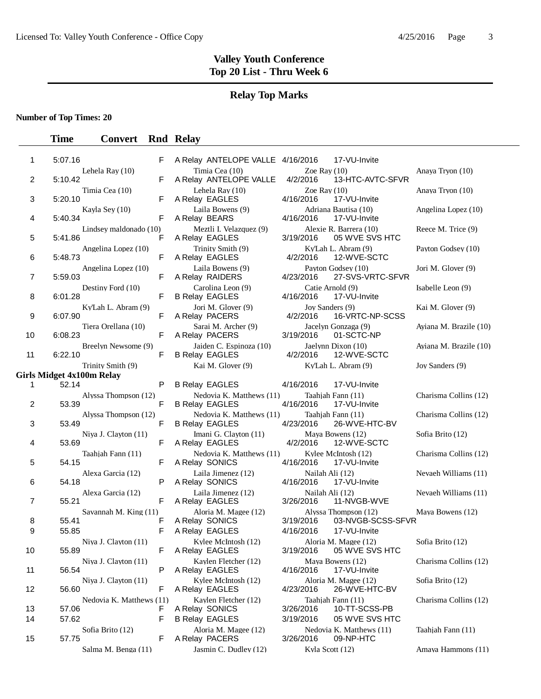## **Relay Top Marks**

**Number of Top Times: 20**

| 1  | 5:07.16 |                                  | F | A Relay ANTELOPE VALLE 4/16/2016                  |                               | 17-VU-Invite                                      |                        |
|----|---------|----------------------------------|---|---------------------------------------------------|-------------------------------|---------------------------------------------------|------------------------|
| 2  | 5:10.42 | Lehela Ray (10)                  | F | Timia Cea (10)<br>A Relay ANTELOPE VALLE          | Zoe Ray $(10)$<br>4/2/2016    | 13-HTC-AVTC-SFVR                                  | Anaya Tryon (10)       |
| 3  | 5:20.10 | Timia Cea (10)                   | F | Lehela Ray (10)<br>A Relay EAGLES                 | Zoe Ray $(10)$<br>4/16/2016   | 17-VU-Invite                                      | Anaya Tryon (10)       |
| 4  | 5:40.34 | Kayla Sey (10)                   | F | Laila Bowens (9)<br>A Relay BEARS                 | 4/16/2016                     | Adriana Bautisa (10)<br>17-VU-Invite              | Angelina Lopez (10)    |
| 5  | 5:41.86 | Lindsey maldonado (10)           | F | Meztli I. Velazquez (9)<br>A Relay EAGLES         | 3/19/2016                     | Alexie R. Barrera (10)<br>05 WVE SVS HTC          | Reece M. Trice (9)     |
| 6  | 5:48.73 | Angelina Lopez (10)              | F | Trinity Smith (9)<br>A Relay EAGLES               | 4/2/2016                      | Ky'Lah L. Abram (9)<br>12-WVE-SCTC                | Payton Godsey (10)     |
| 7  | 5:59.03 | Angelina Lopez (10)              | F | Laila Bowens (9)<br>A Relay RAIDERS               | 4/23/2016                     | Payton Godsey (10)<br>27-SVS-VRTC-SFVR            | Jori M. Glover (9)     |
| 8  | 6:01.28 | Destiny Ford (10)                | F | Carolina Leon (9)<br><b>B Relay EAGLES</b>        | Catie Arnold (9)<br>4/16/2016 | 17-VU-Invite                                      | Isabelle Leon (9)      |
| 9  | 6:07.90 | Ky'Lah L. Abram (9)              | F | Jori M. Glover (9)<br>A Relay PACERS              | Joy Sanders (9)<br>4/2/2016   | 16-VRTC-NP-SCSS                                   | Kai M. Glover (9)      |
| 10 | 6:08.23 | Tiera Orellana (10)              | F | Sarai M. Archer (9)<br>A Relay PACERS             | 3/19/2016                     | Jacelyn Gonzaga (9)<br>01-SCTC-NP                 | Ayiana M. Brazile (10) |
| 11 | 6:22.10 | Breelyn Newsome (9)              | F | Jaiden C. Espinoza (10)<br><b>B Relay EAGLES</b>  | 4/2/2016                      | Jaelynn Dixon (10)<br>12-WVE-SCTC                 | Aviana M. Brazile (10) |
|    |         | Trinity Smith (9)                |   | Kai M. Glover (9)                                 |                               | Ky'Lah L. Abram (9)                               | Joy Sanders (9)        |
|    |         | <b>Girls Midget 4x100m Relay</b> |   |                                                   |                               |                                                   |                        |
| 1  | 52.14   |                                  | P | <b>B Relay EAGLES</b>                             | 4/16/2016                     | 17-VU-Invite                                      |                        |
| 2  | 53.39   | Alyssa Thompson (12)             | F | Nedovia K. Matthews (11)<br><b>B Relay EAGLES</b> | 4/16/2016                     | Taahjah Fann (11)<br>17-VU-Invite                 | Charisma Collins (12)  |
| 3  | 53.49   | Alyssa Thompson (12)             | F | Nedovia K. Matthews (11)<br><b>B Relay EAGLES</b> | 4/23/2016                     | Taahjah Fann (11)<br>26-WVE-HTC-BV                | Charisma Collins (12)  |
| 4  | 53.69   | Niya J. Clayton (11)             | F | Imani G. Clayton (11)<br>A Relay EAGLES           | 4/2/2016                      | Maya Bowens (12)<br>12-WVE-SCTC                   | Sofia Brito (12)       |
| 5  | 54.15   | Taahjah Fann (11)                | F | Nedovia K. Matthews (11)<br>A Relay SONICS        | 4/16/2016                     | Kylee McIntosh (12)<br>17-VU-Invite               | Charisma Collins (12)  |
| 6  | 54.18   | Alexa Garcia (12)                | P | Laila Jimenez (12)<br>A Relay SONICS              | Nailah Ali (12)<br>4/16/2016  | 17-VU-Invite                                      | Nevaeh Williams (11)   |
| 7  | 55.21   | Alexa Garcia (12)                | F | Laila Jimenez (12)<br>A Relay EAGLES              | Nailah Ali (12)<br>3/26/2016  | 11-NVGB-WVE                                       | Nevaeh Williams (11)   |
|    |         | Savannah M. King (11)            |   | Aloria M. Magee (12)                              |                               | Alyssa Thompson (12)                              | Maya Bowens (12)       |
| 8  | 55.41   |                                  | F | A Relay SONICS                                    | 3/19/2016                     | 03-NVGB-SCSS-SFVR                                 |                        |
| 9  | 55.85   |                                  | F | A Relay EAGLES                                    | 4/16/2016                     | 17-VU-Invite                                      |                        |
| 10 | 55.89   | Niya J. Clayton (11)             | F | Kylee McIntosh (12)<br>A Relay EAGLES             |                               | Aloria M. Magee (12)<br>3/19/2016  05 WVE SVS HTC | Sofia Brito (12)       |
| 11 | 56.54   | Niya J. Clayton (11)             | P | Kaylen Fletcher (12)<br>A Relay EAGLES            | 4/16/2016                     | Maya Bowens (12)<br>17-VU-Invite                  | Charisma Collins (12)  |
| 12 | 56.60   | Niya J. Clayton $(11)$           | F | Kylee McIntosh (12)<br>A Relay EAGLES             | 4/23/2016                     | Aloria M. Magee (12)<br>26-WVE-HTC-BV             | Sofia Brito (12)       |
|    |         | Nedovia K. Matthews (11)         |   | Kaylen Fletcher (12)                              |                               | Taahjah Fann (11)                                 | Charisma Collins (12)  |
| 13 | 57.06   |                                  | F | A Relay SONICS                                    | 3/26/2016                     | 10-TT-SCSS-PB                                     |                        |
| 14 | 57.62   |                                  | F | <b>B Relay EAGLES</b>                             | 3/19/2016                     | 05 WVE SVS HTC                                    |                        |
| 15 | 57.75   | Sofia Brito (12)                 | F | Aloria M. Magee (12)<br>A Relay PACERS            | 3/26/2016                     | Nedovia K. Matthews (11)<br>09-NP-HTC             | Taahjah Fann (11)      |
|    |         | Salma M. Benga (11)              |   | Jasmin C. Dudley (12)                             | Kyla Scott (12)               |                                                   | Amaya Hammons (11)     |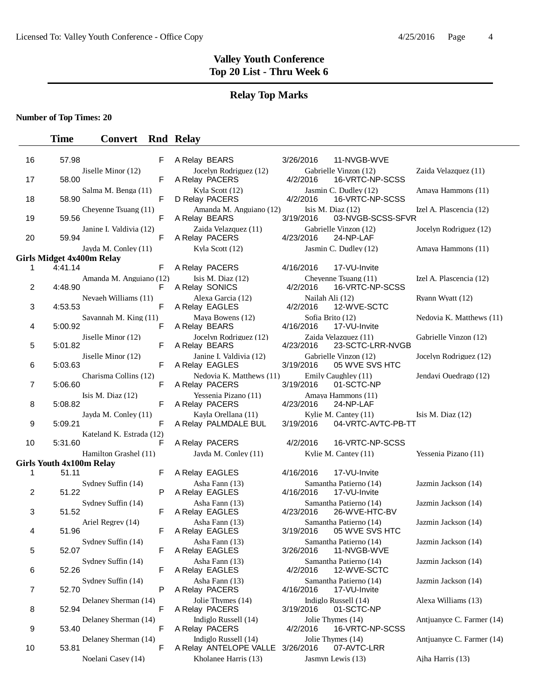## **Relay Top Marks**

**Number of Top Times: 20**

| 16             | 57.98                                       |                          | F | A Relay BEARS                                  | 3/26/2016                   | 11-NVGB-WVE                                |                           |
|----------------|---------------------------------------------|--------------------------|---|------------------------------------------------|-----------------------------|--------------------------------------------|---------------------------|
| 17             | 58.00                                       | Jiselle Minor (12)       | F | Jocelyn Rodriguez (12)<br>A Relay PACERS       | 4/2/2016                    | Gabrielle Vinzon (12)<br>16-VRTC-NP-SCSS   | Zaida Velazquez (11)      |
| 18             | 58.90                                       | Salma M. Benga (11)      | F | Kyla Scott (12)<br>D Relay PACERS              | 4/2/2016                    | Jasmin C. Dudley (12)<br>16-VRTC-NP-SCSS   | Amaya Hammons (11)        |
| 19             | 59.56                                       | Chevenne Tsuang (11)     | F | Amanda M. Anguiano (12)<br>A Relay BEARS       | 3/19/2016                   | Isis M. Diaz $(12)$<br>03-NVGB-SCSS-SFVR   | Izel A. Plascencia (12)   |
| 20             | 59.94                                       | Janine I. Valdivia (12)  | F | Zaida Velazquez (11)<br>A Relay PACERS         | 4/23/2016                   | Gabrielle Vinzon (12)<br>24-NP-LAF         | Jocelyn Rodriguez (12)    |
|                |                                             | Jayda M. Conley (11)     |   | Kyla Scott (12)                                |                             | Jasmin C. Dudley (12)                      | Amaya Hammons (11)        |
|                | <b>Girls Midget 4x400m Relay</b><br>4:41.14 |                          | F |                                                |                             |                                            |                           |
| 1              |                                             | Amanda M. Anguiano (12)  |   | A Relay PACERS                                 | 4/16/2016                   | 17-VU-Invite<br>Chevenne Tsuang (11)       |                           |
| 2              | 4:48.90                                     |                          | F | Isis M. Diaz $(12)$<br>A Relay SONICS          | 4/2/2016                    | 16-VRTC-NP-SCSS                            | Izel A. Plascencia (12)   |
| 3              | 4:53.53                                     | Nevaeh Williams (11)     | F | Alexa Garcia (12)<br>A Relay EAGLES            | Nailah Ali (12)<br>4/2/2016 | 12-WVE-SCTC                                | Ryann Wyatt (12)          |
| 4              | 5:00.92                                     | Savannah M. King (11)    | F | Maya Bowens (12)<br>A Relay BEARS              | 4/16/2016                   | Sofia Brito (12)<br>17-VU-Invite           | Nedovia K. Matthews (11)  |
| 5              | 5:01.82                                     | Jiselle Minor (12)       | F | Jocelyn Rodriguez (12)<br>A Relay BEARS        | 4/23/2016                   | Zaida Velazquez (11)<br>23-SCTC-LRR-NVGB   | Gabrielle Vinzon (12)     |
| 6              | 5:03.63                                     | Jiselle Minor (12)       | F | Janine I. Valdivia (12)<br>A Relay EAGLES      | 3/19/2016                   | Gabrielle Vinzon (12)<br>05 WVE SVS HTC    | Jocelyn Rodriguez (12)    |
| $\overline{7}$ | 5:06.60                                     | Charisma Collins (12)    | F | Nedovia K. Matthews (11)<br>A Relay PACERS     | 3/19/2016                   | Emily Caughley (11)<br>01-SCTC-NP          | Jendayi Ouedrago (12)     |
| 8              | 5:08.82                                     | Isis M. Diaz $(12)$      | F | Yessenia Pizano (11)<br>A Relay PACERS         | 4/23/2016                   | Amaya Hammons (11)<br>24-NP-LAF            |                           |
| 9              | 5:09.21                                     | Jayda M. Conley (11)     | F | Kayla Orellana (11)<br>A Relay PALMDALE BUL    | 3/19/2016                   | Kylie M. Cantey (11)<br>04-VRTC-AVTC-PB-TT | Isis M. Diaz $(12)$       |
| 10             | 5:31.60                                     | Kateland K. Estrada (12) | F | A Relay PACERS                                 | 4/2/2016                    | 16-VRTC-NP-SCSS                            |                           |
|                |                                             | Hamilton Grashel (11)    |   | Jayda M. Conley (11)                           |                             | Kylie M. Cantey (11)                       | Yessenia Pizano (11)      |
|                | <b>Girls Youth 4x100m Relay</b>             |                          |   |                                                |                             |                                            |                           |
| 1              | 51.11                                       |                          | F | A Relay EAGLES<br>Asha Fann (13)               | 4/16/2016                   | 17-VU-Invite<br>Samantha Patierno (14)     |                           |
| 2              | 51.22                                       | Sydney Suffin (14)       | P | A Relay EAGLES                                 | 4/16/2016                   | 17-VU-Invite                               | Jazmin Jackson (14)       |
| 3              | 51.52                                       | Sydney Suffin (14)       | F | Asha Fann (13)<br>A Relay EAGLES               | 4/23/2016                   | Samantha Patierno (14)<br>26-WVE-HTC-BV    | Jazmin Jackson (14)       |
| 4              | 51.96                                       | Ariel Regrev (14)        | F | Asha Fann (13)<br>A Relay EAGLES               | 3/19/2016                   | Samantha Patierno (14)<br>05 WVE SVS HTC   | Jazmin Jackson (14)       |
| 5              | 52.07                                       | Sydney Suffin (14)       |   | Asha Fann (13)<br>A Relay EAGLES               | 3/26/2016                   | Samantha Patierno (14)<br>11-NVGB-WVE      | Jazmin Jackson (14)       |
| 6              | 52.26                                       | Sydney Suffin (14)       | F | Asha Fann (13)<br>A Relay EAGLES               | 4/2/2016                    | Samantha Patierno (14)<br>12-WVE-SCTC      | Jazmin Jackson (14)       |
| $\overline{7}$ | 52.70                                       | Sydney Suffin (14)       | P | Asha Fann (13)<br>A Relay PACERS               | 4/16/2016                   | Samantha Patierno (14)<br>17-VU-Invite     | Jazmin Jackson (14)       |
| 8              | 52.94                                       | Delaney Sherman (14)     | F | Jolie Thymes (14)<br>A Relay PACERS            | 3/19/2016                   | Indiglo Russell (14)<br>01-SCTC-NP         | Alexa Williams (13)       |
| 9              | 53.40                                       | Delaney Sherman (14)     | F | Indiglo Russell (14)<br>A Relay PACERS         | 4/2/2016                    | Jolie Thymes (14)<br>16-VRTC-NP-SCSS       | Antiuanyce C. Farmer (14) |
| 10             | 53.81                                       | Delaney Sherman (14)     | F | Indiglo Russell (14)<br>A Relay ANTELOPE VALLE | 3/26/2016                   | Jolie Thymes (14)<br>07-AVTC-LRR           | Antjuanyce C. Farmer (14) |
|                |                                             | Noelani Casey (14)       |   | Kholanee Harris (13)                           |                             | Jasmyn Lewis (13)                          | Ajha Harris (13)          |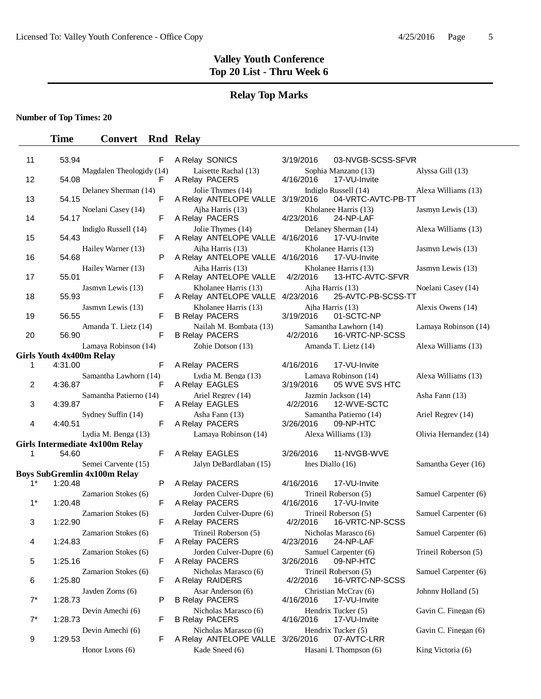## **Relay Top Marks**

**Number of Top Times: 20**

| 11    | 53.94                           | F                                      | A Relay SONICS                                           | 3/19/2016                         | 03-NVGB-SCSS-SFVR                        |                       |
|-------|---------------------------------|----------------------------------------|----------------------------------------------------------|-----------------------------------|------------------------------------------|-----------------------|
| 12    | 54.08                           | Magdalen Theologidy (14)<br>F          | Laisette Rachal (13)<br>A Relay PACERS                   | 4/16/2016                         | Sophia Manzano (13)<br>17-VU-Invite      | Alyssa Gill (13)      |
| 13    | 54.15                           | Delaney Sherman (14)<br>F              | Jolie Thymes (14)<br>A Relay ANTELOPE VALLE 3/19/2016    | Indiglo Russell (14)              | 04-VRTC-AVTC-PB-TT                       | Alexa Williams (13)   |
| 14    | 54.17                           | Noelani Casey (14)<br>F                | Aiha Harris (13)<br>A Relay PACERS                       | 4/23/2016                         | Kholanee Harris (13)<br>24-NP-LAF        | Jasmyn Lewis (13)     |
| 15    | 54.43                           | Indiglo Russell (14)<br>F              | Jolie Thymes (14)<br>A Relay ANTELOPE VALLE 4/16/2016    |                                   | Delaney Sherman (14)<br>17-VU-Invite     | Alexa Williams (13)   |
| 16    | 54.68                           | Hailey Warner (13)<br>P                | Aiha Harris (13)<br>A Relay ANTELOPE VALLE 4/16/2016     |                                   | Kholanee Harris (13)<br>17-VU-Invite     | Jasmyn Lewis (13)     |
| 17    | 55.01                           | Hailey Warner (13)<br>F                | Aiha Harris (13)<br>A Relay ANTELOPE VALLE               | 4/2/2016                          | Kholanee Harris (13)<br>13-HTC-AVTC-SFVR | Jasmyn Lewis (13)     |
| 18    | 55.93                           | Jasmyn Lewis (13)<br>F                 | Kholanee Harris (13)<br>A Relay ANTELOPE VALLE 4/23/2016 | Ajha Harris (13)                  | 25-AVTC-PB-SCSS-TT                       | Noelani Casey (14)    |
| 19    | 56.55                           | Jasmyn Lewis (13)<br>F                 | Kholanee Harris (13)<br><b>B Relay PACERS</b>            | Ajha Harris (13)<br>3/19/2016     | 01-SCTC-NP                               | Alexis Owens (14)     |
| 20    | 56.90                           | Amanda T. Lietz (14)<br>F              | Nailah M. Bombata (13)<br><b>B Relay PACERS</b>          | 4/2/2016                          | Samantha Lawhorn (14)<br>16-VRTC-NP-SCSS | Lamaya Robinson (14)  |
|       |                                 | Lamaya Robinson (14)                   | Zohie Dotson (13)                                        |                                   | Amanda T. Lietz (14)                     | Alexa Williams (13)   |
|       | <b>Girls Youth 4x400m Relay</b> |                                        |                                                          |                                   |                                          |                       |
| 1     | 4:31.00                         | F                                      | A Relay PACERS                                           | 4/16/2016                         | 17-VU-Invite                             |                       |
| 2     | 4:36.87                         | Samantha Lawhorn (14)<br>F             | Lydia M. Benga (13)<br>A Relay EAGLES                    | 3/19/2016                         | Lamaya Robinson (14)<br>05 WVE SVS HTC   | Alexa Williams (13)   |
| 3     | 4:39.87                         | Samantha Patierno (14)<br>F            | Ariel Regrey (14)<br>A Relay EAGLES                      | 4/2/2016                          | Jazmin Jackson (14)<br>12-WVE-SCTC       | Asha Fann (13)        |
| 4     | 4:40.51                         | Sydney Suffin (14)<br>F                | Asha Fann (13)<br>A Relay PACERS                         | 3/26/2016                         | Samantha Patierno (14)<br>09-NP-HTC      | Ariel Regrev (14)     |
|       |                                 | Lydia M. Benga (13)                    | Lamaya Robinson (14)                                     |                                   | Alexa Williams (13)                      | Olivia Hernandez (14) |
|       |                                 | <b>Girls Intermediate 4x100m Relay</b> |                                                          |                                   |                                          |                       |
| 1     | 54.60                           | F                                      | A Relay EAGLES                                           | 3/26/2016                         | 11-NVGB-WVE                              |                       |
|       |                                 | Semei Carvente (15)                    | Jalyn DeBardlaban (15)                                   | Ines Diallo $(16)$                |                                          | Samantha Gever (16)   |
| $1^*$ |                                 | <b>Boys SubGremlin 4x100m Relay</b>    |                                                          |                                   |                                          |                       |
|       | 1:20.48                         | P                                      | A Relay PACERS                                           | 4/16/2016                         | 17-VU-Invite                             |                       |
| $1^*$ | 1:20.48                         | Zamarion Stokes (6)<br>F               | Jorden Culver-Dupre (6)<br>A Relay PACERS                | 4/16/2016                         | Trineil Roberson (5)<br>17-VU-Invite     | Samuel Carpenter (6)  |
| 3     | 1:22.90                         | Zamarion Stokes (6)<br>F               | Jorden Culver-Dupre (6)<br>A Relay PACERS                | 4/2/2016                          | Trineil Roberson (5)<br>16-VRTC-NP-SCSS  | Samuel Carpenter (6)  |
| 4     | 1:24.83                         | Zamarion Stokes (6)<br>F               | Trineil Roberson (5)<br>A Relay PACERS                   | 4/23/2016                         | Nicholas Marasco (6)<br>24-NP-LAF        | Samuel Carpenter (6)  |
| 5     | 1:25.16                         | Zamarion Stokes (6)<br>F               | Jorden Culver-Dupre (6)<br>A Relay PACERS                | Samuel Carpenter (6)<br>3/26/2016 | 09-NP-HTC                                | Trineil Roberson (5)  |
| 6     | 1:25.80                         | Zamarion Stokes (6)<br>F               | Nicholas Marasco (6)<br>A Relay RAIDERS                  | 4/2/2016                          | Trineil Roberson (5)<br>16-VRTC-NP-SCSS  | Samuel Carpenter (6)  |
| $7^*$ | 1:28.73                         | Jayden Zorns (6)<br>Ρ                  | Asar Anderson (6)<br><b>B Relay PACERS</b>               | 4/16/2016                         | Christian McCray (6)<br>17-VU-Invite     | Johnny Holland (5)    |
| $7^*$ | 1:28.73                         | Devin Amechi (6)<br>F                  | Nicholas Marasco (6)<br><b>B Relay PACERS</b>            | Hendrix Tucker (5)<br>4/16/2016   | 17-VU-Invite                             | Gavin C. Finegan (6)  |
| 9     | 1:29.53                         | Devin Amechi (6)<br>F                  | Nicholas Marasco (6)<br>A Relay ANTELOPE VALLE 3/26/2016 | Hendrix Tucker (5)                | 07-AVTC-LRR                              | Gavin C. Finegan (6)  |
|       |                                 | Honor Lyons $(6)$                      | Kade Sneed (6)                                           |                                   | Hasani I. Thompson (6)                   | King Victoria (6)     |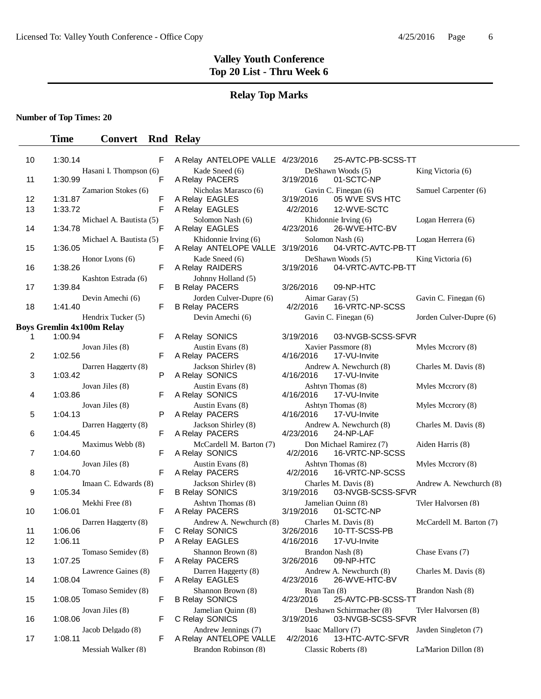## **Relay Top Marks**

**Number of Top Times: 20**

| 10       | 1:30.14            |                                  | F      | A Relay ANTELOPE VALLE 4/23/2016                 |                             | 25-AVTC-PB-SCSS-TT                            |                         |
|----------|--------------------|----------------------------------|--------|--------------------------------------------------|-----------------------------|-----------------------------------------------|-------------------------|
|          |                    | Hasani I. Thompson (6)           |        | Kade Sneed (6)                                   |                             | DeShawn Woods (5)                             | King Victoria (6)       |
| 11       | 1:30.99            |                                  | F      | A Relay PACERS                                   | 3/19/2016                   | 01-SCTC-NP                                    |                         |
| 12       | 1:31.87            | Zamarion Stokes (6)              | F      | Nicholas Marasco (6)<br>A Relay EAGLES           | 3/19/2016                   | Gavin C. Finegan (6)<br>05 WVE SVS HTC        | Samuel Carpenter (6)    |
| 13       | 1:33.72            |                                  | F      | A Relay EAGLES                                   | 4/2/2016                    | 12-WVE-SCTC                                   |                         |
| 14       | 1:34.78            | Michael A. Bautista (5)          | F      | Solomon Nash (6)<br>A Relay EAGLES               | 4/23/2016                   | Khidonnie Irving (6)<br>26-WVE-HTC-BV         | Logan Herrera (6)       |
| 15       | 1:36.05            | Michael A. Bautista (5)          | F      | Khidonnie Irving (6)<br>A Relay ANTELOPE VALLE   | 3/19/2016                   | Solomon Nash (6)<br>04-VRTC-AVTC-PB-TT        | Logan Herrera (6)       |
| 16       | 1:38.26            | Honor Lyons (6)                  | F      | Kade Sneed (6)<br>A Relay RAIDERS                | 3/19/2016                   | DeShawn Woods (5)<br>04-VRTC-AVTC-PB-TT       | King Victoria (6)       |
| 17       | 1:39.84            | Kashton Estrada (6)              | F      | Johnny Holland (5)<br><b>B Relay PACERS</b>      | 3/26/2016                   | 09-NP-HTC                                     |                         |
| 18       | 1:41.40            | Devin Amechi (6)                 | F      | Jorden Culver-Dupre (6)<br><b>B Relay PACERS</b> | Aimar Garay (5)<br>4/2/2016 | 16-VRTC-NP-SCSS                               | Gavin C. Finegan (6)    |
|          |                    | Hendrix Tucker (5)               |        | Devin Amechi (6)                                 |                             | Gavin C. Finegan (6)                          | Jorden Culver-Dupre (6) |
| 1        | 1:00.94            | <b>Boys Gremlin 4x100m Relay</b> | F      | A Relay SONICS                                   | 3/19/2016                   | 03-NVGB-SCSS-SFVR                             |                         |
| 2        | 1:02.56            | Jovan Jiles (8)                  | F      | Austin Evans (8)<br>A Relay PACERS               | 4/16/2016                   | Xavier Passmore (8)<br>17-VU-Invite           | Myles Mccrory (8)       |
| 3        | 1:03.42            | Darren Haggerty (8)              | P      | Jackson Shirley (8)<br>A Relay SONICS            | 4/16/2016                   | Andrew A. Newchurch (8)<br>17-VU-Invite       | Charles M. Davis (8)    |
| 4        | 1:03.86            | Jovan Jiles (8)                  | F      | Austin Evans (8)<br>A Relay SONICS               | 4/16/2016                   | Ashtyn Thomas (8)<br>17-VU-Invite             | Myles Mccrory (8)       |
| 5        | 1:04.13            | Jovan Jiles (8)                  | P      | Austin Evans (8)<br>A Relay PACERS               | 4/16/2016                   | Ashtyn Thomas (8)<br>17-VU-Invite             | Myles Mccrory (8)       |
| 6        | 1:04.45            | Darren Haggerty (8)              | F      | Jackson Shirley (8)<br>A Relay PACERS            | 4/23/2016                   | Andrew A. Newchurch (8)<br>24-NP-LAF          | Charles M. Davis (8)    |
| 7        | 1:04.60            | Maximus Webb (8)                 | F      | McCardell M. Barton (7)<br>A Relay SONICS        | 4/2/2016                    | Don Michael Ramirez (7)<br>16-VRTC-NP-SCSS    | Aiden Harris (8)        |
| 8        | 1:04.70            | Jovan Jiles (8)                  | F      | Austin Evans (8)<br>A Relay PACERS               | 4/2/2016                    | Ashtyn Thomas (8)<br>16-VRTC-NP-SCSS          | Myles Mccrory (8)       |
| 9        | 1:05.34            | Imaan C. Edwards (8)             | F      | Jackson Shirley (8)<br><b>B Relay SONICS</b>     | 3/19/2016                   | Charles M. Davis (8)<br>03-NVGB-SCSS-SFVR     | Andrew A. Newchurch (8) |
| 10       | 1:06.01            | Mekhi Free (8)                   | F      | Ashtyn Thomas (8)<br>A Relay PACERS              | 3/19/2016                   | Jamelian Quinn (8)<br>01-SCTC-NP              | Tyler Halvorsen (8)     |
|          |                    | Darren Haggerty (8)              |        | Andrew A. Newchurch (8)                          |                             | Charles M. Davis (8)                          | McCardell M. Barton (7) |
| 11<br>12 | 1:06.06<br>1:06.11 |                                  | F<br>P | C Relay SONICS<br>A Relay EAGLES                 | 3/26/2016<br>4/16/2016      | 10-TT-SCSS-PB<br>17-VU-Invite                 |                         |
| 13       | 1:07.25            | Tomaso Semidey (8)               | F      | Shannon Brown (8)<br>A Relay PACERS              | 3/26/2016                   | Brandon Nash (8)<br>09-NP-HTC                 | Chase Evans (7)         |
| 14       | 1:08.04            | Lawrence Gaines (8)              | F      | Darren Haggerty (8)<br>A Relay EAGLES            | 4/23/2016                   | Andrew A. Newchurch (8)<br>26-WVE-HTC-BV      | Charles M. Davis (8)    |
| 15       | 1:08.05            | Tomaso Semidey (8)               | F      | Shannon Brown (8)<br><b>B Relay SONICS</b>       | Ryan Tan (8)<br>4/23/2016   | 25-AVTC-PB-SCSS-TT                            | Brandon Nash (8)        |
| 16       | 1:08.06            | Jovan Jiles (8)                  | F      | Jamelian Quinn (8)<br>C Relay SONICS             | 3/19/2016                   | Deshawn Schirrmacher (8)<br>03-NVGB-SCSS-SFVR | Tyler Halvorsen (8)     |
| 17       | 1:08.11            | Jacob Delgado (8)                | F      | Andrew Jennings (7)<br>A Relay ANTELOPE VALLE    | 4/2/2016                    | Isaac Mallory (7)<br>13-HTC-AVTC-SFVR         | Jayden Singleton (7)    |
|          |                    | Messiah Walker (8)               |        | Brandon Robinson (8)                             |                             | Classic Roberts (8)                           | La'Marion Dillon (8)    |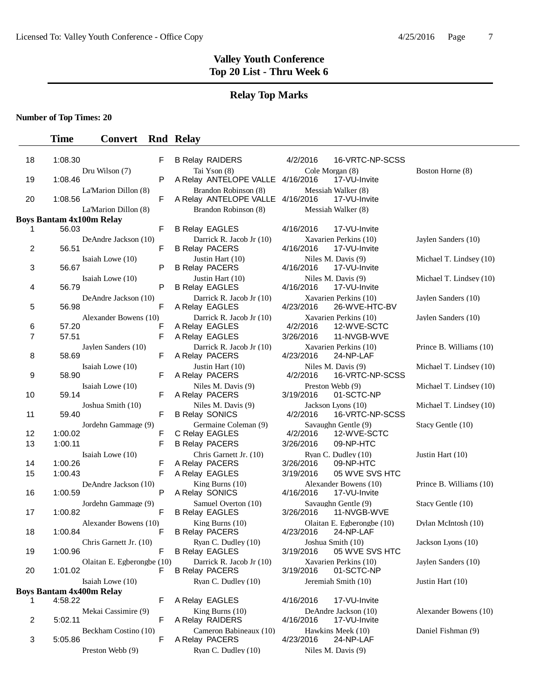**Time Convert Rnd Relay** 

#### **Valley Youth Conference Top 20 List - Thru Week 6**

#### **Relay Top Marks**

**Number of Top Times: 20**

#### 18 1:08.30 F B Relay RAIDERS 4/2/2016 16-VRTC-NP-SCSS Dru Wilson (7) Tai Yson (8) Cole Morgan (8) Boston Horne (8) 19 1:08.46 P A Relay ANTELOPE VALLE 4/16/2016 17-VU-Invite La'Marion Dillon (8) Brandon Robinson (8) Messiah Walker (8)<br>F A Relay ANTELOPE VALLE 4/16/2016 17-VU-Invite 20 1:08.56 F A Relay ANTELOPE VALLE 4/16/2016 La'Marion Dillon (8) Brandon Robinson (8) Messiah Walker (8) **Boys Bantam 4x100m Relay**  1 56.03 **F B Relay EAGLES** 4/16/2016 17-VU-Invite DeAndre Jackson (10) Darrick R. Jacob Jr (10) Xavarien Perkins (10) Jaylen Sanders (10) 2 56.51 **F B Relay PACERS** 4/16/2016 17-VU-Invite Isaiah Lowe (10) Justin Hart (10) Niles M. Davis (9) Michael T. Lindsey (10) 3 56.67 P B Relay PACERS 4/16/2016 17-VU-Invite Isaiah Lowe (10) Justin Hart (10) Niles M. Davis (9) Michael T. Lindsey (10)<br>
P B Relay EAGLES 4/16/2016 17-VU-lnvite 4 56.79 P B Relay EAGLES DeAndre Jackson (10) Darrick R. Jacob Jr (10) Xavarien Perkins (10) Jaylen Sanders (10)<br>
F A Relay EAGLES 4/23/2016 26-WVE-HTC-BV 5 56.98 F A Relay EAGLES 4/23/2016 26-WVE-HTC-BV Alexander Bowens (10) Darrick R. Jacob Jr (10) Xavarien Perkins (10) Jaylen Sanders (10)<br>
F A Relay EAGLES 4/2/2016 12-WVE-SCTC 6 57.20 **F** A Relay EAGLES 4/2/2016 7 57.51 F A Relay EAGLES 3/26/2016 11-NVGB-WVE Jaylen Sanders (10) Darrick R. Jacob Jr (10) Xavarien Perkins (10) Prince B. Williams (10) 8 58.69 F A Relay PACERS 4/23/2016 24-NP-LAF Isaiah Lowe (10) Justin Hart (10) Niles M. Davis (9) Michael T. Lindsey (10)<br>
F A Relay PACERS 4/2/2016 16-VRTC-NP-SCSS 9 58.90 **F A Relay PACERS** 4/2/2016 16-VRTC-NP-SCSS Isaiah Lowe (10) Niles M. Davis (9) Preston Webb (9) Michael T. Lindsey (10)<br>
F A Relay PACERS 3/19/2016 01-SCTC-NP 10 59.14 **F A Relay PACERS** 3/19/2016 01-SCTC-NP Joshua Smith (10) Niles M. Davis (9) Jackson Lyons (10) Michael T. Lindsey (10)<br>F B Relay SONICS 4/2/2016 16-VRTC-NP-SCSS 11 59.40 **F B Relay SONICS** 4/2/2016 16-VRTC-NP-SCSS Jordehn Gammage (9) Germaine Coleman (9) Savaughn Gentle (9) Stacy Gentle (10) 12 1:00.02 F C Relay EAGLES 4/2/2016 12-WVE-SCTC 13 1:00.11 F B Relay PACERS 3/26/2016 09-NP-HTC Isaiah Lowe (10) Chris Garnett Jr. (10) Ryan C. Dudley (10) Justin Hart (10)<br>
F A Relay PACERS 3/26/2016 09-NP-HTC 14 1:00.26 F A Relay PACERS 3/26/2016 09-NP-HTC 15 1:00.43 F A Relay EAGLES 3/19/2016 05 WVE SVS HTC DeAndre Jackson (10) King Burns (10) Alexander Bowens (10) P A Relay SONICS 4/16/2016 17-VU-lnvite 16 1:00.59 P A Relay SONICS 4/16/2016 17-VU-Invite Jordehn Gammage (9) Samuel Overton (10) Savaughn Gentle (9) Stacy Gentle (10)<br>
F B Relay FAGLES 3/26/2016 11-NVGB-WVF 17 1:00.82 F B Relay EAGLES 3/26/2016 11-NVGB-WVE Alexander Bowens (10) King Burns (10) Olaitan E. Egberongbe (10) Dylan McIntosh (10) 18 1:00.84 F B Relay PACERS 4/23/2016 24-NP-LAF Chris Garnett Jr. (10) Ryan C. Dudley (10) Joshua Smith (10) Jackson Lyons (10)<br>F B Relay EAGLES 3/19/2016 05 WVE SVS HTC 19 1:00.96 F B Relay EAGLES 3/19/2016 05 WVE SVS HTC Olaitan E. Egberongbe (10) Darrick R. Jacob Jr (10) Xavarien Perkins (10) Jaylen Sanders (10) 20 1:01.02 F B Relay PACERS 3/19/2016 01-SCTC-NP Isaiah Lowe (10) Ryan C. Dudley (10) Jeremiah Smith (10) Justin Hart (10) **Boys Bantam 4x400m Relay**  1 4:58.22 **F** A Relay EAGLES 4/16/2016 17-VU-Invite Mekai Cassimire (9) King Burns (10) DeAndre Jackson (10) Alexander Bowens (10)<br>
F A Relay RAIDERS 4/16/2016 17-VU-Invite 2 5:02.11 **F** A Relay RAIDERS Beckham Costino (10) Cameron Babineaux (10) Hawkins Meek (10) Daniel Fishman (9)<br>
F A Relay PACERS 4/23/2016 24-NP-LAF

3 5:05.86 F A Relay PACERS 4/23/2016 24-NP-LAF

Preston Webb (9) Ryan C. Dudley (10) Niles M. Davis (9)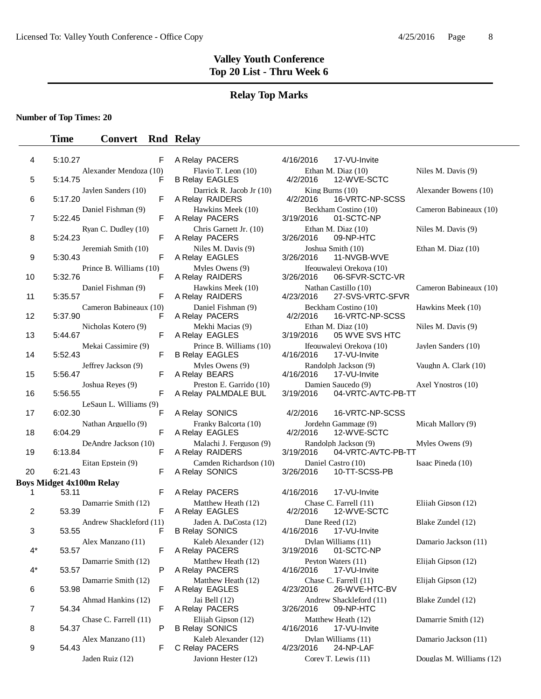#### **Relay Top Marks**

**Number of Top Times: 20**

| 4  | 5:10.27 |                                               | F | A Relay PACERS                                   | 4/16/2016                   | 17-VU-Invite                                 |
|----|---------|-----------------------------------------------|---|--------------------------------------------------|-----------------------------|----------------------------------------------|
| 5  | 5:14.75 | Alexander Mendoza (10)                        | F | Flavio T. Leon (10)<br><b>B Relay EAGLES</b>     | 4/2/2016                    | Ethan M. Diaz $(10)$<br>12-WVE-SCTC          |
|    |         | Jaylen Sanders (10)                           |   | Darrick R. Jacob Jr (10)                         | King Burns $(10)$           |                                              |
| 6  | 5:17.20 |                                               | F | A Relay RAIDERS                                  | 4/2/2016                    | 16-VRTC-NP-SCSS                              |
| 7  | 5:22.45 | Daniel Fishman (9)                            | F | Hawkins Meek (10)<br>A Relay PACERS              | 3/19/2016                   | Beckham Costino (10)<br>01-SCTC-NP           |
| 8  | 5:24.23 | Ryan C. Dudley (10)                           | F | Chris Garnett Jr. (10)<br>A Relay PACERS         | 3/26/2016                   | Ethan M. Diaz (10)<br>09-NP-HTC              |
| 9  | 5:30.43 | Jeremiah Smith (10)                           | F | Niles M. Davis (9)<br>A Relay EAGLES             | 3/26/2016                   | Joshua Smith (10)<br>11-NVGB-WVE             |
| 10 | 5:32.76 | Prince B. Williams (10)                       | F | Myles Owens (9)<br>A Relay RAIDERS               | 3/26/2016                   | Ifeouwaleyi Orekoya (10)<br>06-SFVR-SCTC-VR  |
| 11 | 5:35.57 | Daniel Fishman (9)                            | F | Hawkins Meek (10)<br>A Relay RAIDERS             | 4/23/2016                   | Nathan Castillo (10)<br>27-SVS-VRTC-SFVR     |
| 12 | 5:37.90 | Cameron Babineaux (10)                        | F | Daniel Fishman (9)<br>A Relay PACERS             | 4/2/2016                    | Beckham Costino (10)<br>16-VRTC-NP-SCSS      |
| 13 | 5:44.67 | Nicholas Kotero (9)                           | F | Mekhi Macias (9)<br>A Relay EAGLES               | 3/19/2016                   | Ethan M. Diaz (10)<br>05 WVE SVS HTC         |
| 14 | 5:52.43 | Mekai Cassimire (9)                           | F | Prince B. Williams (10)<br><b>B Relay EAGLES</b> | 4/16/2016                   | Ifeouwaleyi Orekoya (10)<br>17-VU-Invite     |
| 15 | 5:56.47 | Jeffrey Jackson (9)                           | F | Myles Owens (9)<br>A Relay BEARS                 | 4/16/2016                   | Randolph Jackson (9)<br>17-VU-Invite         |
| 16 | 5:56.55 | Joshua Reyes (9)                              | F | Preston E. Garrido (10)<br>A Relay PALMDALE BUL  | 3/19/2016                   | Damien Saucedo (9)<br>04-VRTC-AVTC-PB-TT     |
| 17 | 6:02.30 | LeSaun L. Williams (9)<br>Nathan Arguello (9) | F | A Relay SONICS<br>Franky Balcorta (10)           | 4/2/2016                    | 16-VRTC-NP-SCSS<br>Jordehn Gammage (9)       |
| 18 | 6:04.29 | DeAndre Jackson (10)                          | F | A Relay EAGLES<br>Malachi J. Ferguson (9)        | 4/2/2016                    | 12-WVE-SCTC<br>Randolph Jackson (9)          |
| 19 | 6:13.84 | Eitan Epstein (9)                             | F | A Relay RAIDERS<br>Camden Richardson (10)        | 3/19/2016                   | 04-VRTC-AVTC-PB-TT<br>Daniel Castro (10)     |
| 20 | 6:21.43 |                                               | F | A Relay SONICS                                   | 3/26/2016                   | 10-TT-SCSS-PB                                |
|    |         | <b>Boys Midget 4x100m Relay</b>               |   |                                                  |                             |                                              |
| 1  | 53.11   |                                               | F | A Relay PACERS                                   | 4/16/2016                   | 17-VU-Invite                                 |
| 2  | 53.39   | Damarrie Smith (12)                           | F | Matthew Heath (12)<br>A Relay EAGLES             | 4/2/2016                    | Chase C. Farrell (11)<br>12-WVE-SCTC         |
| 3  | 53.55   | Andrew Shackleford (11)                       | F | Jaden A. DaCosta (12)<br><b>B Relay SONICS</b>   | Dane Reed (12)<br>4/16/2016 | 17-VU-Invite                                 |
| 4* | 53.57   | Alex Manzano (11)                             | F | Kaleb Alexander (12)<br>A Relay PACERS           |                             | Dylan Williams (11)<br>3/19/2016  01-SCTC-NP |
| 4* | 53.57   | Damarrie Smith (12)                           | P | Matthew Heath (12)<br>A Relay PACERS             | 4/16/2016                   | Peyton Waters (11)<br>17-VU-Invite           |
| 6  | 53.98   | Damarrie Smith (12)                           | F | Matthew Heath (12)<br>A Relay EAGLES             | 4/23/2016                   | Chase C. Farrell (11)<br>26-WVE-HTC-BV       |
| 7  | 54.34   | Ahmad Hankins (12)                            | F | Jai Bell (12)<br>A Relay PACERS                  | 3/26/2016                   | Andrew Shackleford (11)<br>09-NP-HTC         |
| 8  | 54.37   | Chase C. Farrell (11)                         | P | Elijah Gipson (12)<br><b>B Relay SONICS</b>      | 4/16/2016                   | Matthew Heath (12)<br>17-VU-Invite           |
| 9  | 54.43   | Alex Manzano (11)                             | F | Kaleb Alexander (12)<br>C Relay PACERS           | 4/23/2016                   | Dylan Williams (11)<br>24-NP-LAF             |
|    |         | $\mathbf{n}$ $(10)$                           |   |                                                  |                             | $T T = 1.7111$                               |

| Alexander Mendoza (10)  | F | Flavio T. Leon (10)<br><b>B Relay EAGLES</b>     | Ethan M. Diaz $(10)$<br>4/2/2016<br>12-WVE-SCTC       |
|-------------------------|---|--------------------------------------------------|-------------------------------------------------------|
| Jaylen Sanders (10)     | F | Darrick R. Jacob Jr (10)<br>A Relay RAIDERS      | King Burns $(10)$<br>16-VRTC-NP-S<br>4/2/2016         |
| Daniel Fishman (9)      | F | Hawkins Meek (10)<br>A Relay PACERS              | Beckham Costino (10)<br>3/19/2016<br>01-SCTC-NP       |
| Ryan C. Dudley (10)     | F | Chris Garnett Jr. (10)<br>A Relay PACERS         | Ethan M. Diaz (10)<br>09-NP-HTC<br>3/26/2016          |
| Jeremiah Smith (10)     | F | Niles M. Davis (9)<br>A Relay EAGLES             | Joshua Smith (10)<br>3/26/2016<br>11-NVGB-WVE         |
| Prince B. Williams (10) | F | Myles Owens (9)<br>A Relay RAIDERS               | Ifeouwaleyi Orekoya (10)<br>06-SFVR-SCT<br>3/26/2016  |
| Daniel Fishman (9)      | F | Hawkins Meek (10)<br>A Relay RAIDERS             | Nathan Castillo (10)<br>27-SVS-VRTC-<br>4/23/2016     |
| Cameron Babineaux (10)  | F | Daniel Fishman (9)<br>A Relay PACERS             | Beckham Costino (10)<br>16-VRTC-NP-S<br>4/2/2016      |
| Nicholas Kotero (9)     | F | Mekhi Macias (9)<br>A Relay EAGLES               | Ethan M. Diaz (10)<br>05 WVE SVS H<br>3/19/2016       |
| Mekai Cassimire (9)     | F | Prince B. Williams (10)<br><b>B Relay EAGLES</b> | Ifeouwaleyi Orekoya (10)<br>4/16/2016<br>17-VU-Invite |
| Jeffrey Jackson (9)     | F | Myles Owens (9)<br>A Relay BEARS                 | Randolph Jackson (9)<br>4/16/2016<br>17-VU-Invite     |
| Joshua Reyes (9)        | F | Preston E. Garrido (10)<br>A Relay PALMDALE BUL  | Damien Saucedo (9)<br>3/19/2016<br>04-VRTC-AVT        |
| LeSaun L. Williams (9)  |   |                                                  |                                                       |
|                         | F | A Relay SONICS                                   | 16-VRTC-NP-S<br>4/2/2016                              |
| Nathan Arguello (9)     | F | Franky Balcorta (10)<br>A Relay EAGLES           | Jordehn Gammage (9)<br>4/2/2016<br>12-WVE-SCTC        |
| DeAndre Jackson (10)    | F | Malachi J. Ferguson (9)<br>A Relay RAIDERS       | Randolph Jackson (9)<br>3/19/2016<br>04-VRTC-AVT      |
| Eitan Epstein (9)       | F | Camden Richardson (10)<br>A Relay SONICS         | Daniel Castro (10)<br>10-TT-SCSS-P<br>3/26/2016       |
| 0 <sub>m</sub> Relay    |   |                                                  |                                                       |
|                         | F | A Relay PACERS                                   | 4/16/2016<br>17-VU-Invite                             |
| Damarrie Smith (12)     | F | Matthew Heath (12)<br>A Relay EAGLES             | Chase C. Farrell (11)<br>4/2/2016<br>12-WVE-SCTC      |
| Andrew Shackleford (11) | F | Jaden A. DaCosta (12)<br><b>B Relay SONICS</b>   | Dane Reed (12)<br>4/16/2016<br>17-VU-Invite           |
| Alex Manzano (11)       | F | Kaleb Alexander (12)<br>A Relay PACERS           | Dylan Williams (11)<br>3/19/2016<br>01-SCTC-NP        |
| Damarrie Smith (12)     | P | Matthew Heath (12)<br>A Relay PACERS             | Peyton Waters (11)<br>17-VU-Invite<br>4/16/2016       |
| Damarrie Smith (12)     | F | Matthew Heath (12)<br>A Relay EAGLES             | Chase C. Farrell (11)<br>4/23/2016<br>26-WVE-HTC-     |
| Ahmad Hankins (12)      | F | Jai Bell (12)<br>A Relay PACERS                  | Andrew Shackleford (11)<br>3/26/2016<br>09-NP-HTC     |
| Chase C. Farrell (11)   | P | Elijah Gipson (12)<br><b>B Relay SONICS</b>      | Matthew Heath (12)<br>17-VU-Invite<br>4/16/2016       |
| Alex Manzano (11)       | F | Kaleb Alexander (12)<br>C Relay PACERS           | Dylan Williams (11)<br>24-NP-LAF<br>4/23/2016         |
| Iaden Ruiz $(12)$       |   | Iavionn Hester $(12)$                            | $CoreV$ T Lewis (11)                                  |

| F                              | A Relay PACERS                                              | 4/16/2016<br>17-VU-Invite                                             |                        |
|--------------------------------|-------------------------------------------------------------|-----------------------------------------------------------------------|------------------------|
| Alexander Mendoza (10)<br>F    | Flavio T. Leon (10)<br><b>B Relay EAGLES</b>                | Ethan M. Diaz (10)<br>4/2/2016<br>12-WVE-SCTC                         | Niles M. Davis (9)     |
| Jaylen Sanders (10)<br>F       | Darrick R. Jacob Jr (10)<br>A Relay RAIDERS                 | King Burns $(10)$<br>16-VRTC-NP-SCSS<br>4/2/2016                      | Alexander Bowens (10)  |
| Daniel Fishman (9)<br>F        | Hawkins Meek (10)<br>A Relay PACERS                         | Beckham Costino (10)<br>3/19/2016<br>01-SCTC-NP                       | Cameron Babineaux (10) |
| Ryan C. Dudley (10)<br>F       | Chris Garnett Jr. (10)<br>A Relay PACERS                    | Ethan M. Diaz (10)<br>09-NP-HTC<br>3/26/2016                          | Niles M. Davis (9)     |
| Jeremiah Smith (10)<br>F       | Niles M. Davis (9)<br>A Relay EAGLES                        | Joshua Smith (10)<br>11-NVGB-WVE<br>3/26/2016                         | Ethan M. Diaz (10)     |
| Prince B. Williams (10)<br>F   | Myles Owens (9)<br>A Relay RAIDERS                          | Ifeouwaleyi Orekoya (10)<br>06-SFVR-SCTC-VR<br>3/26/2016              |                        |
| Daniel Fishman (9)<br>F        | Hawkins Meek (10)<br>A Relay RAIDERS                        | Nathan Castillo (10)<br>27-SVS-VRTC-SFVR<br>4/23/2016                 | Cameron Babineaux (10) |
| Cameron Babineaux (10)<br>F    | Daniel Fishman (9)<br>A Relay PACERS                        | Beckham Costino (10)<br>4/2/2016<br>16-VRTC-NP-SCSS                   | Hawkins Meek (10)      |
| Nicholas Kotero (9)<br>F       | Mekhi Macias (9)<br>A Relay EAGLES                          | Ethan M. Diaz (10)<br>3/19/2016<br>05 WVE SVS HTC                     | Niles M. Davis (9)     |
| Mekai Cassimire (9)<br>F       | Prince B. Williams (10)<br><b>B Relay EAGLES</b>            | Ifeouwalevi Orekova (10)<br>17-VU-Invite<br>4/16/2016                 | Jaylen Sanders (10)    |
| Jeffrey Jackson (9)<br>F       | Myles Owens (9)<br>A Relay BEARS                            | Randolph Jackson (9)<br>4/16/2016<br>17-VU-Invite                     | Vaughn A. Clark (10)   |
| Joshua Reyes (9)<br>F          | Preston E. Garrido (10)<br>A Relay PALMDALE BUL             | Damien Saucedo (9)<br>3/19/2016<br>04-VRTC-AVTC-PB-TT                 | Axel Ynostros (10)     |
| LeSaun L. Williams (9)         |                                                             |                                                                       |                        |
|                                |                                                             |                                                                       |                        |
| F<br>Nathan Arguello (9)       | A Relay SONICS<br>Franky Balcorta (10)                      | 16-VRTC-NP-SCSS<br>4/2/2016<br>Jordehn Gammage (9)                    | Micah Mallory (9)      |
| F<br>DeAndre Jackson (10)<br>F | A Relay EAGLES<br>Malachi J. Ferguson (9)                   | 4/2/2016<br>12-WVE-SCTC<br>Randolph Jackson (9)<br>04-VRTC-AVTC-PB-TT | Myles Owens (9)        |
| Eitan Epstein (9)<br>F         | A Relay RAIDERS<br>Camden Richardson (10)<br>A Relay SONICS | 3/19/2016<br>Daniel Castro (10)<br>3/26/2016<br>10-TT-SCSS-PB         | Isaac Pineda (10)      |
| 00m Relay                      |                                                             |                                                                       |                        |
| F                              | A Relay PACERS                                              | 17-VU-Invite<br>4/16/2016                                             |                        |
| Damarrie Smith (12)<br>F       | Matthew Heath (12)<br>A Relay EAGLES                        | Chase C. Farrell (11)<br>12-WVE-SCTC<br>4/2/2016                      | Elijah Gipson (12)     |
| Andrew Shackleford (11)<br>F   | Jaden A. DaCosta (12)<br><b>B Relay SONICS</b>              | Dane Reed (12)<br>4/16/2016<br>17-VU-Invite                           | Blake Zundel (12)      |
| Alex Manzano (11)<br>F         | Kaleb Alexander (12)<br>A Relay PACERS                      | Dylan Williams (11)<br>3/19/2016<br>01-SCTC-NP                        | Damario Jackson (11)   |
| Damarrie Smith (12)<br>P       | Matthew Heath (12)<br>A Relay PACERS                        | Peyton Waters (11)<br>17-VU-Invite<br>4/16/2016                       | Elijah Gipson (12)     |
| Damarrie Smith (12)<br>F       | Matthew Heath (12)<br>A Relay EAGLES                        | Chase C. Farrell (11)<br>26-WVE-HTC-BV<br>4/23/2016                   | Elijah Gipson (12)     |
| Ahmad Hankins (12)<br>F        | Jai Bell (12)<br>A Relay PACERS                             | Andrew Shackleford (11)<br>3/26/2016<br>09-NP-HTC                     | Blake Zundel (12)      |
| Chase C. Farrell (11)<br>P     | Elijah Gipson (12)<br><b>B Relay SONICS</b>                 | Matthew Heath (12)<br>17-VU-Invite<br>4/16/2016                       | Damarrie Smith (12)    |
| Alex Manzano (11)<br>F         | Kaleb Alexander (12)<br>C Relay PACERS                      | Dylan Williams (11)<br>24-NP-LAF<br>4/23/2016                         | Damario Jackson (11)   |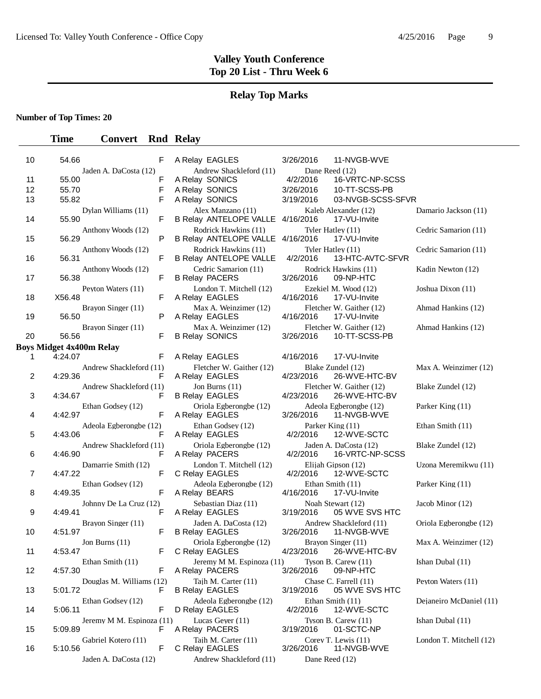#### **Relay Top Marks**

**Number of Top Times: 20**

| 10 | 54.66   | F                               | A Relay EAGLES                                           | 3/26/2016      | 11-NVGB-WVE                               |                         |
|----|---------|---------------------------------|----------------------------------------------------------|----------------|-------------------------------------------|-------------------------|
|    |         | Jaden A. DaCosta (12)           | Andrew Shackleford (11)                                  | Dane Reed (12) |                                           |                         |
| 11 | 55.00   | F                               | A Relay SONICS                                           | 4/2/2016       | 16-VRTC-NP-SCSS                           |                         |
| 12 | 55.70   | F                               | A Relay SONICS                                           | 3/26/2016      | 10-TT-SCSS-PB                             |                         |
| 13 | 55.82   | F                               | A Relay SONICS                                           | 3/19/2016      | 03-NVGB-SCSS-SFVR                         |                         |
| 14 | 55.90   | Dylan Williams (11)<br>F        | Alex Manzano (11)<br>B Relay ANTELOPE VALLE 4/16/2016    |                | Kaleb Alexander (12)<br>17-VU-Invite      | Damario Jackson (11)    |
| 15 | 56.29   | Anthony Woods (12)<br>P         | Rodrick Hawkins (11)<br>B Relay ANTELOPE VALLE 4/16/2016 |                | Tyler Hatley (11)<br>17-VU-Invite         | Cedric Samarion (11)    |
| 16 | 56.31   | Anthony Woods (12)<br>F         | Rodrick Hawkins (11)<br><b>B Relay ANTELOPE VALLE</b>    | 4/2/2016       | Tyler Hatley (11)<br>13-HTC-AVTC-SFVR     | Cedric Samarion (11)    |
| 17 | 56.38   | Anthony Woods (12)<br>F         | Cedric Samarion (11)<br><b>B Relay PACERS</b>            | 3/26/2016      | Rodrick Hawkins (11)<br>09-NP-HTC         | Kadin Newton (12)       |
| 18 | X56.48  | Peyton Waters (11)<br>F         | London T. Mitchell (12)<br>A Relay EAGLES                | 4/16/2016      | Ezekiel M. Wood (12)<br>17-VU-Invite      | Joshua Dixon (11)       |
| 19 | 56.50   | Brayon Singer (11)<br>P         | Max A. Weinzimer (12)<br>A Relay EAGLES                  | 4/16/2016      | Fletcher W. Gaither (12)<br>17-VU-Invite  | Ahmad Hankins (12)      |
| 20 | 56.56   | Brayon Singer (11)<br>F         | Max A. Weinzimer (12)<br><b>B Relay SONICS</b>           | 3/26/2016      | Fletcher W. Gaither (12)<br>10-TT-SCSS-PB | Ahmad Hankins (12)      |
|    |         | <b>Boys Midget 4x400m Relay</b> |                                                          |                |                                           |                         |
| 1  | 4:24.07 | F                               | A Relay EAGLES                                           | 4/16/2016      | 17-VU-Invite                              |                         |
| 2  | 4:29.36 | Andrew Shackleford (11)<br>F    | Fletcher W. Gaither (12)<br>A Relay EAGLES               | 4/23/2016      | Blake Zundel (12)<br>26-WVE-HTC-BV        | Max A. Weinzimer (12)   |
| 3  | 4:34.67 | Andrew Shackleford (11)<br>F    | Jon Burns $(11)$<br><b>B Relay EAGLES</b>                | 4/23/2016      | Fletcher W. Gaither (12)<br>26-WVE-HTC-BV | Blake Zundel (12)       |
| 4  | 4:42.97 | Ethan Godsey (12)<br>F          | Oriola Egberongbe (12)<br>A Relay EAGLES                 | 3/26/2016      | Adeola Egberongbe (12)<br>11-NVGB-WVE     | Parker King (11)        |
| 5  | 4:43.06 | Adeola Egberongbe (12)<br>F     | Ethan Godsey (12)<br>A Relay EAGLES                      | 4/2/2016       | Parker King (11)<br>12-WVE-SCTC           | Ethan Smith (11)        |
| 6  | 4:46.90 | Andrew Shackleford (11)<br>F    | Oriola Egberongbe (12)<br>A Relay PACERS                 | 4/2/2016       | Jaden A. DaCosta (12)<br>16-VRTC-NP-SCSS  | Blake Zundel (12)       |
| 7  | 4:47.22 | Damarrie Smith (12)<br>F        | London T. Mitchell (12)<br>C Relay EAGLES                | 4/2/2016       | Elijah Gipson (12)<br>12-WVE-SCTC         | Uzona Meremikwu (11)    |
| 8  | 4:49.35 | Ethan Godsey (12)<br>F          | Adeola Egberongbe (12)<br>A Relay BEARS                  | 4/16/2016      | Ethan Smith (11)<br>17-VU-Invite          | Parker King (11)        |
| 9  | 4:49.41 | Johnny De La Cruz (12)<br>F     | Sebastian Diaz (11)<br>A Relay EAGLES                    | 3/19/2016      | Noah Stewart (12)<br>05 WVE SVS HTC       | Jacob Minor (12)        |
| 10 | 4:51.97 | Brayon Singer (11)<br>F         | Jaden A. DaCosta (12)<br><b>B Relay EAGLES</b>           | 3/26/2016      | Andrew Shackleford (11)<br>11-NVGB-WVE    | Oriola Egberongbe (12)  |
| 11 | 4:53.47 | Jon Burns $(11)$<br>F           | Oriola Egberongbe (12)<br>C Relay EAGLES                 | 4/23/2016      | Brayon Singer (11)<br>26-WVE-HTC-BV       | Max A. Weinzimer (12)   |
| 12 | 4:57.30 | Ethan Smith (11)<br>F           | Jeremy M M. Espinoza (11)<br>A Relay PACERS              | 3/26/2016      | Tyson B. Carew $(11)$<br>09-NP-HTC        | Ishan Dubal (11)        |
| 13 | 5:01.72 | Douglas M. Williams (12)<br>F   | Tajh M. Carter (11)<br><b>B Relay EAGLES</b>             | 3/19/2016      | Chase C. Farrell (11)<br>05 WVE SVS HTC   | Peyton Waters (11)      |
| 14 | 5:06.11 | Ethan Godsey (12)<br>F          | Adeola Egberongbe (12)<br>D Relay EAGLES                 | 4/2/2016       | Ethan Smith (11)<br>12-WVE-SCTC           | Dejaneiro McDaniel (11) |
| 15 | 5:09.89 | Jeremy M M. Espinoza (11)<br>F. | Lucas Geyer (11)<br>A Relay PACERS                       | 3/19/2016      | Tyson B. Carew $(11)$<br>01-SCTC-NP       | Ishan Dubal (11)        |
| 16 | 5:10.56 | Gabriel Kotero (11)<br>F        | Tajh M. Carter (11)<br>C Relay EAGLES                    | 3/26/2016      | Corey T. Lewis $(11)$<br>11-NVGB-WVE      | London T. Mitchell (12) |
|    |         | Jaden A. DaCosta (12)           | Andrew Shackleford (11)                                  | Dane Reed (12) |                                           |                         |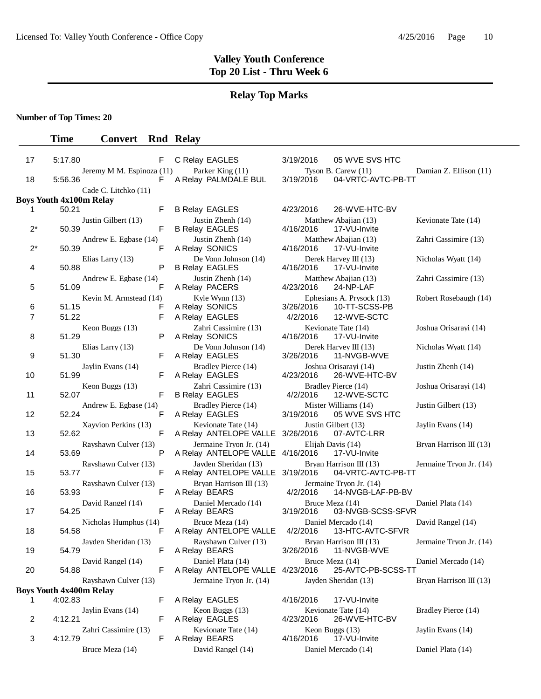## **Relay Top Marks**

**Number of Top Times: 20**

| 17                                                                                                                                   | 5:17.80        | F                                |  | C Relay EAGLES                                                  | 3/19/2016             | 05 WVE SVS HTC                                                  |                         |  |  |  |  |
|--------------------------------------------------------------------------------------------------------------------------------------|----------------|----------------------------------|--|-----------------------------------------------------------------|-----------------------|-----------------------------------------------------------------|-------------------------|--|--|--|--|
|                                                                                                                                      |                | Jeremy M M. Espinoza (11)        |  | Parker King (11)                                                |                       | Tyson B. Carew (11)                                             | Damian Z. Ellison (11)  |  |  |  |  |
| 18                                                                                                                                   | 5:56.36        | F                                |  | A Relay PALMDALE BUL                                            | 3/19/2016             | 04-VRTC-AVTC-PB-TT                                              |                         |  |  |  |  |
| Cade C. Litchko (11)<br><b>Boys Youth 4x100m Relay</b>                                                                               |                |                                  |  |                                                                 |                       |                                                                 |                         |  |  |  |  |
| 1.                                                                                                                                   | 50.21          | F                                |  | <b>B Relay EAGLES</b>                                           | 4/23/2016             | 26-WVE-HTC-BV                                                   |                         |  |  |  |  |
| $2^*$                                                                                                                                | 50.39          | Justin Gilbert (13)<br>F         |  | Justin Zhenh (14)<br><b>B Relay EAGLES</b>                      | 4/16/2016             | Matthew Abajian (13)<br>17-VU-Invite                            | Kevionate Tate (14)     |  |  |  |  |
| $2^*$                                                                                                                                | 50.39          | Andrew E. Egbase (14)<br>F       |  | Justin Zhenh (14)<br>A Relay SONICS                             | 4/16/2016             | Matthew Abajian (13)<br>17-VU-Invite                            | Zahri Cassimire (13)    |  |  |  |  |
| 4                                                                                                                                    | 50.88          | Elias Larry (13)<br>P            |  | De Vonn Johnson (14)<br><b>B Relay EAGLES</b>                   | 4/16/2016             | Derek Harvey III $(13)$<br>17-VU-Invite                         | Nicholas Wyatt (14)     |  |  |  |  |
| 5                                                                                                                                    | 51.09          | Andrew E. Egbase (14)<br>F       |  | Justin Zhenh (14)<br>A Relay PACERS                             | 4/23/2016             | Matthew Abajian (13)<br>24-NP-LAF                               | Zahri Cassimire (13)    |  |  |  |  |
| 6<br>7                                                                                                                               | 51.15<br>51.22 | Kevin M. Armstead (14)<br>F<br>F |  | Kyle Wynn (13)<br>A Relay SONICS<br>A Relay EAGLES              | 3/26/2016<br>4/2/2016 | Ephesians A. Prysock (13)<br>10-TT-SCSS-PB<br>12-WVE-SCTC       | Robert Rosebaugh (14)   |  |  |  |  |
| 8                                                                                                                                    | 51.29          | Keon Buggs (13)<br>Ρ             |  | Zahri Cassimire (13)<br>A Relay SONICS                          | 4/16/2016             | Kevionate Tate (14)<br>17-VU-Invite                             | Joshua Orisarayi (14)   |  |  |  |  |
| 9                                                                                                                                    | 51.30          | Elias Larry (13)<br>F            |  | De Vonn Johnson (14)<br>A Relay EAGLES                          | 3/26/2016             | Derek Harvey III (13)<br>11-NVGB-WVE                            | Nicholas Wyatt (14)     |  |  |  |  |
| 10                                                                                                                                   | 51.99          | Jaylin Evans (14)<br>F           |  | Bradley Pierce (14)<br>A Relay EAGLES                           | 4/23/2016             | Joshua Orisarayi (14)<br>26-WVE-HTC-BV                          | Justin Zhenh (14)       |  |  |  |  |
| 11                                                                                                                                   | 52.07          | Keon Buggs (13)<br>F             |  | Zahri Cassimire (13)<br><b>B Relay EAGLES</b>                   | 4/2/2016              | Bradley Pierce (14)<br>12-WVE-SCTC                              | Joshua Orisarayi (14)   |  |  |  |  |
| 12                                                                                                                                   | 52.24          | Andrew E. Egbase (14)<br>F       |  | Bradley Pierce (14)<br>A Relay EAGLES                           | 3/19/2016             | Mister Williams (14)<br>05 WVE SVS HTC                          | Justin Gilbert (13)     |  |  |  |  |
| 13                                                                                                                                   | 52.62          | Xayvion Perkins (13)<br>F        |  | Kevionate Tate (14)<br>A Relay ANTELOPE VALLE 3/26/2016         |                       | Justin Gilbert (13)<br>07-AVTC-LRR                              | Jaylin Evans (14)       |  |  |  |  |
| 14                                                                                                                                   | 53.69          | Rayshawn Culver (13)<br>P        |  | Jermaine Tryon Jr. (14)<br>A Relay ANTELOPE VALLE 4/16/2016     |                       | Elijah Davis (14)<br>17-VU-Invite                               | Bryan Harrison III (13) |  |  |  |  |
| 15                                                                                                                                   | 53.77          | Rayshawn Culver (13)<br>F        |  | Jayden Sheridan (13)<br>A Relay ANTELOPE VALLE 3/19/2016        |                       | Bryan Harrison III (13)<br>04-VRTC-AVTC-PB-TT                   | Jermaine Tryon Jr. (14) |  |  |  |  |
| 16                                                                                                                                   | 53.93          | Rayshawn Culver (13)<br>F        |  | Bryan Harrison III (13)<br>A Relay BEARS<br>Daniel Mercado (14) | 4/2/2016              | Jermaine Tryon Jr. (14)<br>14-NVGB-LAF-PB-BV<br>Bruce Meza (14) |                         |  |  |  |  |
| 17                                                                                                                                   | 54.25          | David Rangel (14)<br>F           |  | A Relay BEARS                                                   | 3/19/2016             | 03-NVGB-SCSS-SFVR                                               | Daniel Plata (14)       |  |  |  |  |
| 18                                                                                                                                   | 54.58          | Nicholas Humphus (14)<br>F       |  | Bruce Meza (14)<br>A Relay ANTELOPE VALLE                       | 4/2/2016              | Daniel Mercado (14)<br>13-HTC-AVTC-SFVR                         | David Rangel (14)       |  |  |  |  |
| 19                                                                                                                                   | 54.79          | Jayden Sheridan (13)<br>F        |  | Rayshawn Culver (13)<br>A Relay BEARS                           |                       | Bryan Harrison III (13)<br>3/26/2016  11-NVGB-WVE               | Jermaine Tryon Jr. (14) |  |  |  |  |
| 20                                                                                                                                   | 54.88          | David Rangel (14)<br>F           |  | Daniel Plata (14)<br>A Relay ANTELOPE VALLE 4/23/2016           |                       | Bruce Meza (14)<br>25-AVTC-PB-SCSS-TT                           | Daniel Mercado (14)     |  |  |  |  |
| Rayshawn Culver (13)<br>Jermaine Tryon Jr. (14)<br>Jayden Sheridan (13)<br>Bryan Harrison III (13)<br><b>Boys Youth 4x400m Relay</b> |                |                                  |  |                                                                 |                       |                                                                 |                         |  |  |  |  |
|                                                                                                                                      | 4:02.83        | F                                |  | A Relay EAGLES                                                  | 4/16/2016             | 17-VU-Invite                                                    |                         |  |  |  |  |
| 2                                                                                                                                    | 4:12.21        | Jaylin Evans (14)<br>F           |  | Keon Buggs (13)<br>A Relay EAGLES                               | 4/23/2016             | Kevionate Tate (14)<br>26-WVE-HTC-BV                            | Bradley Pierce (14)     |  |  |  |  |
| 3                                                                                                                                    | 4:12.79        | Zahri Cassimire (13)<br>F        |  | Kevionate Tate (14)<br>A Relay BEARS                            | 4/16/2016             | Keon Buggs (13)<br>17-VU-Invite                                 | Jaylin Evans (14)       |  |  |  |  |
|                                                                                                                                      |                | Bruce Meza (14)                  |  | David Rangel (14)                                               |                       | Daniel Mercado (14)                                             | Daniel Plata (14)       |  |  |  |  |